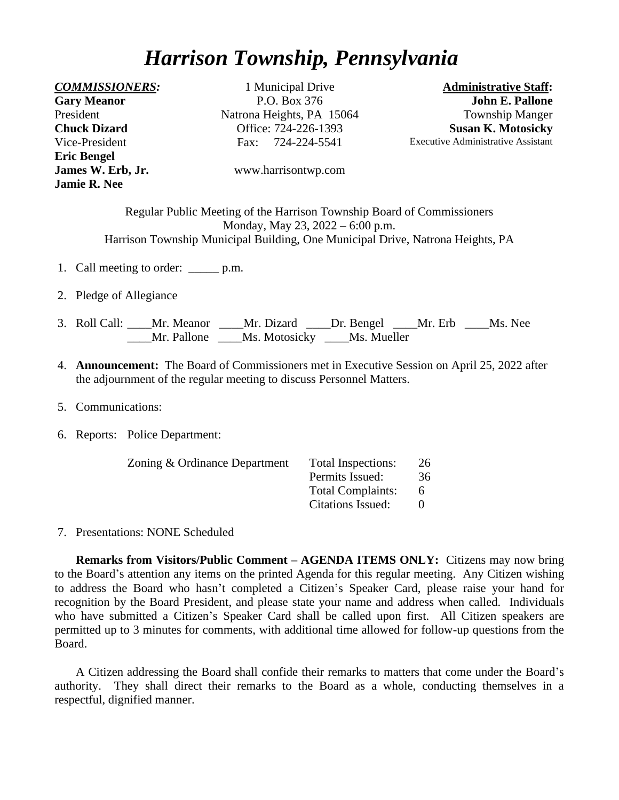## *Harrison Township, Pennsylvania*

**Gary Meanor** President **Chuck Dizard** Vice-President **Eric Bengel Jamie R. Nee**

*COMMISSIONERS:* 1 Municipal Drive **Administrative Staff:**  P.O. Box 376 Natrona Heights, PA 15064 Office: 724-226-1393 Fax: 724-224-5541

**John E. Pallone** Township Manger **Susan K. Motosicky** Executive Administrative Assistant

**James W. Erb, Jr.** [www.harrisontwp.com](http://www.harrisontwp.com/)

Regular Public Meeting of the Harrison Township Board of Commissioners Monday, May 23, 2022 – 6:00 p.m. Harrison Township Municipal Building, One Municipal Drive, Natrona Heights, PA

- 1. Call meeting to order: p.m.
- 2. Pledge of Allegiance
- 3. Roll Call: \_\_\_\_Mr. Meanor \_\_\_\_Mr. Dizard \_\_\_\_Dr. Bengel \_\_\_\_Mr. Erb \_\_\_\_Ms. Nee \_\_\_\_Mr. Pallone \_\_\_\_Ms. Motosicky \_\_\_\_Ms. Mueller
- 4. **Announcement:** The Board of Commissioners met in Executive Session on April 25, 2022 after the adjournment of the regular meeting to discuss Personnel Matters.
- 5. Communications:
- 6. Reports: Police Department:

| Zoning & Ordinance Department | Total Inspections:       | 26 |
|-------------------------------|--------------------------|----|
|                               | Permits Issued:          | 36 |
|                               | <b>Total Complaints:</b> | 6  |
|                               | Citations Issued:        |    |

7. Presentations: NONE Scheduled

**Remarks from Visitors/Public Comment – AGENDA ITEMS ONLY:** Citizens may now bring to the Board's attention any items on the printed Agenda for this regular meeting. Any Citizen wishing to address the Board who hasn't completed a Citizen's Speaker Card, please raise your hand for recognition by the Board President, and please state your name and address when called. Individuals who have submitted a Citizen's Speaker Card shall be called upon first. All Citizen speakers are permitted up to 3 minutes for comments, with additional time allowed for follow-up questions from the Board.

A Citizen addressing the Board shall confide their remarks to matters that come under the Board's authority. They shall direct their remarks to the Board as a whole, conducting themselves in a respectful, dignified manner.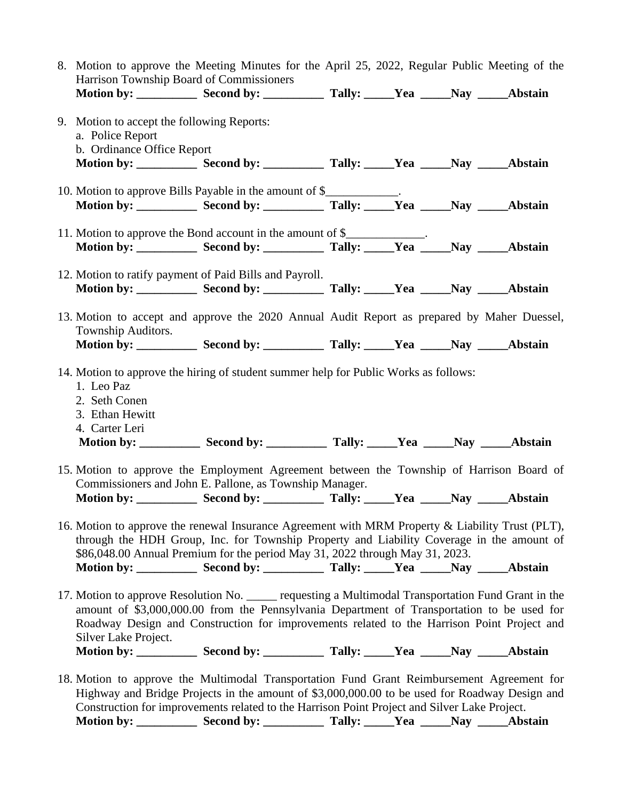| 8. Motion to approve the Meeting Minutes for the April 25, 2022, Regular Public Meeting of the<br>Harrison Township Board of Commissioners                                                                                                                                                                         |                                                                                                                                                                           |  |  |  |         |  |
|--------------------------------------------------------------------------------------------------------------------------------------------------------------------------------------------------------------------------------------------------------------------------------------------------------------------|---------------------------------------------------------------------------------------------------------------------------------------------------------------------------|--|--|--|---------|--|
|                                                                                                                                                                                                                                                                                                                    |                                                                                                                                                                           |  |  |  |         |  |
| 9. Motion to accept the following Reports:<br>a. Police Report<br>b. Ordinance Office Report<br>Motion by: _____________ Second by: _____________ Tally: ______Yea ______Nay _____Abstain                                                                                                                          |                                                                                                                                                                           |  |  |  |         |  |
| 10. Motion to approve Bills Payable in the amount of \$____________.<br>Motion by: ____________ Second by: ____________ Tally: _____Yea _____Nay _____Abstain                                                                                                                                                      |                                                                                                                                                                           |  |  |  |         |  |
| 11. Motion to approve the Bond account in the amount of \$<br>Motion by: ____________ Second by: ____________ Tally: _____Yea ______Nay ______                                                                                                                                                                     |                                                                                                                                                                           |  |  |  | Abstain |  |
| 12. Motion to ratify payment of Paid Bills and Payroll.<br>Motion by: _____________ Second by: _____________ Tally: ______Yea ______Nay _____Abstain                                                                                                                                                               |                                                                                                                                                                           |  |  |  |         |  |
| 13. Motion to accept and approve the 2020 Annual Audit Report as prepared by Maher Duessel,<br>Township Auditors.                                                                                                                                                                                                  |                                                                                                                                                                           |  |  |  |         |  |
| 14. Motion to approve the hiring of student summer help for Public Works as follows:<br>1. Leo Paz<br>2. Seth Conen<br>3. Ethan Hewitt<br>4. Carter Leri                                                                                                                                                           |                                                                                                                                                                           |  |  |  |         |  |
| 15. Motion to approve the Employment Agreement between the Township of Harrison Board of<br>Commissioners and John E. Pallone, as Township Manager.                                                                                                                                                                |                                                                                                                                                                           |  |  |  |         |  |
| 16. Motion to approve the renewal Insurance Agreement with MRM Property & Liability Trust (PLT),<br>Motion by: ____________ Second by: ____________ Tally: _____Yea _____Nay _____Abstain                                                                                                                          | through the HDH Group, Inc. for Township Property and Liability Coverage in the amount of<br>\$86,048.00 Annual Premium for the period May 31, 2022 through May 31, 2023. |  |  |  |         |  |
| 17. Motion to approve Resolution No. _____ requesting a Multimodal Transportation Fund Grant in the<br>Roadway Design and Construction for improvements related to the Harrison Point Project and<br>Silver Lake Project.<br>Motion by: ____________ Second by: ____________ Tally: _____Yea _____Nay _____Abstain | amount of \$3,000,000.00 from the Pennsylvania Department of Transportation to be used for                                                                                |  |  |  |         |  |
| 18. Motion to approve the Multimodal Transportation Fund Grant Reimbursement Agreement for<br>Highway and Bridge Projects in the amount of \$3,000,000.00 to be used for Roadway Design and<br>Construction for improvements related to the Harrison Point Project and Silver Lake Project.                        |                                                                                                                                                                           |  |  |  |         |  |

**Motion by: \_\_\_\_\_\_\_\_\_\_ Second by: \_\_\_\_\_\_\_\_\_\_ Tally: \_\_\_\_\_Yea \_\_\_\_\_Nay \_\_\_\_\_Abstain**